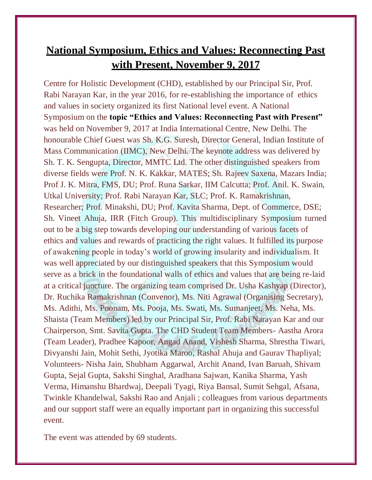## **National Symposium, Ethics and Values: Reconnecting Past with Present, November 9, 2017**

Centre for Holistic Development (CHD), established by our Principal Sir, Prof. Rabi Narayan Kar, in the year 2016, for re-establishing the importance of ethics and values in society organized its first National level event. A National Symposium on the **topic "Ethics and Values: Reconnecting Past with Present"** was held on November 9, 2017 at India International Centre, New Delhi. The honourable Chief Guest was Sh. K.G. Suresh, Director General, Indian Institute of Mass Communication (IIMC), New Delhi. The keynote address was delivered by Sh. T. K. Sengupta, Director, MMTC Ltd. The other distinguished speakers from diverse fields were Prof. N. K. Kakkar, MATES; Sh. Rajeev Saxena, Mazars India; Prof J. K. Mitra, FMS, DU; Prof. Runa Sarkar, IIM Calcutta; Prof. Anil. K. Swain, Utkal University; Prof. Rabi Narayan Kar, SLC; Prof. K. Ramakrishnan, Researcher; Prof. Minakshi, DU; Prof. Kavita Sharma, Dept. of Commerce, DSE; Sh. Vineet Ahuja, IRR (Fitch Group). This multidisciplinary Symposium turned out to be a big step towards developing our understanding of various facets of ethics and values and rewards of practicing the right values. It fulfilled its purpose of awakening people in today's world of growing insularity and individualism. It was well appreciated by our distinguished speakers that this Symposium would serve as a brick in the foundational walls of ethics and values that are being re-laid at a critical juncture. The organizing team comprised Dr. Usha Kashyap (Director), Dr. Ruchika Ramakrishnan (Convenor), Ms. Niti Agrawal (Organising Secretary), Ms. Adithi, Ms. Poonam, Ms. Pooja, Ms. Swati, Ms. Sumanjeet, Ms. Neha, Ms. Shaista (Team Members) led by our Principal Sir, Prof. Rabi Narayan Kar and our Chairperson, Smt. Savita Gupta. The CHD Student Team Members- Aastha Arora (Team Leader), Pradhee Kapoor, Angad Anand, Vishesh Sharma, Shrestha Tiwari, Divyanshi Jain, Mohit Sethi, Jyotika Maroo, Rashal Ahuja and Gaurav Thapliyal; Volunteers- Nisha Jain, Shubham Aggarwal, Archit Anand, Ivan Baruah, Shivam Gupta, Sejal Gupta, Sakshi Singhal, Aradhana Sajwan, Kanika Sharma, Yash Verma, Himanshu Bhardwaj, Deepali Tyagi, Riya Bansal, Sumit Sehgal, Afsana, Twinkle Khandelwal, Sakshi Rao and Anjali ; colleagues from various departments and our support staff were an equally important part in organizing this successful event.

The event was attended by 69 students.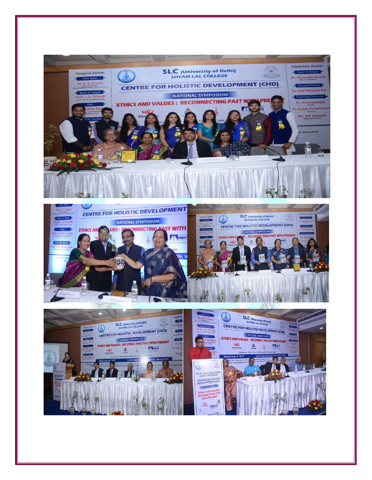